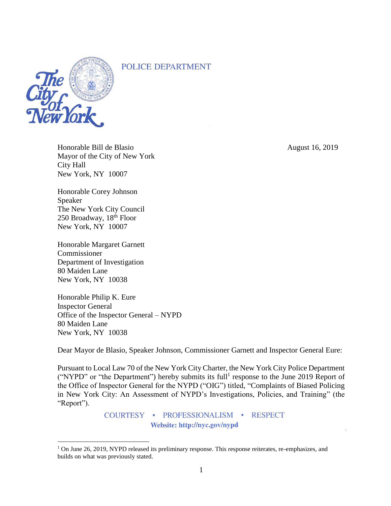# POLICE DEPARTMENT



 $\overline{a}$ 

Honorable Bill de Blasio August 16, 2019 Mayor of the City of New York City Hall New York, NY 10007

Honorable Corey Johnson Speaker The New York City Council 250 Broadway, 18th Floor New York, NY 10007

Honorable Margaret Garnett Commissioner Department of Investigation 80 Maiden Lane New York, NY 10038

Honorable Philip K. Eure Inspector General Office of the Inspector General – NYPD 80 Maiden Lane New York, NY 10038

Dear Mayor de Blasio, Speaker Johnson, Commissioner Garnett and Inspector General Eure:

Pursuant to Local Law 70 of the New York City Charter, the New York City Police Department ("NYPD" or "the Department") hereby submits its full<sup>1</sup> response to the June 2019 Report of the Office of Inspector General for the NYPD ("OIG") titled, "Complaints of Biased Policing in New York City: An Assessment of NYPD's Investigations, Policies, and Training" (the "Report").

> COURTESY · PROFESSIONALISM · RESPECT Website: http://nyc.gov/nypd

<sup>&</sup>lt;sup>1</sup> On June 26, 2019, NYPD released its preliminary response. This response reiterates, re-emphasizes, and builds on what was previously stated.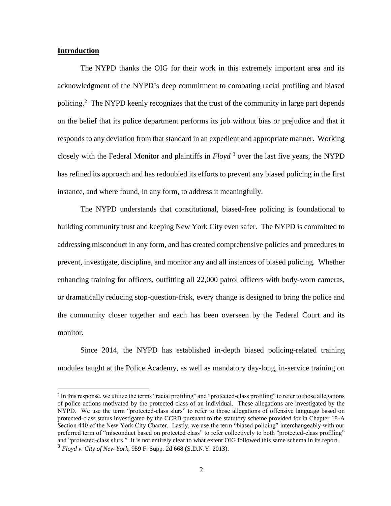### **Introduction**

 $\overline{a}$ 

The NYPD thanks the OIG for their work in this extremely important area and its acknowledgment of the NYPD's deep commitment to combating racial profiling and biased policing.<sup>2</sup> The NYPD keenly recognizes that the trust of the community in large part depends on the belief that its police department performs its job without bias or prejudice and that it responds to any deviation from that standard in an expedient and appropriate manner. Working closely with the Federal Monitor and plaintiffs in *Floyd* <sup>3</sup> over the last five years, the NYPD has refined its approach and has redoubled its efforts to prevent any biased policing in the first instance, and where found, in any form, to address it meaningfully.

The NYPD understands that constitutional, biased-free policing is foundational to building community trust and keeping New York City even safer. The NYPD is committed to addressing misconduct in any form, and has created comprehensive policies and procedures to prevent, investigate, discipline, and monitor any and all instances of biased policing. Whether enhancing training for officers, outfitting all 22,000 patrol officers with body-worn cameras, or dramatically reducing stop-question-frisk, every change is designed to bring the police and the community closer together and each has been overseen by the Federal Court and its monitor.

Since 2014, the NYPD has established in-depth biased policing-related training modules taught at the Police Academy, as well as mandatory day-long, in-service training on

<sup>&</sup>lt;sup>2</sup> In this response, we utilize the terms "racial profiling" and "protected-class profiling" to refer to those allegations of police actions motivated by the protected-class of an individual. These allegations are investigated by the NYPD. We use the term "protected-class slurs" to refer to those allegations of offensive language based on protected-class status investigated by the CCRB pursuant to the statutory scheme provided for in Chapter 18-A Section 440 of the New York City Charter. Lastly, we use the term "biased policing" interchangeably with our preferred term of "misconduct based on protected class" to refer collectively to both "protected-class profiling" and "protected-class slurs." It is not entirely clear to what extent OIG followed this same schema in its report. <sup>3</sup> *Floyd v. City of New York*, 959 F. Supp. 2d 668 (S.D.N.Y. 2013).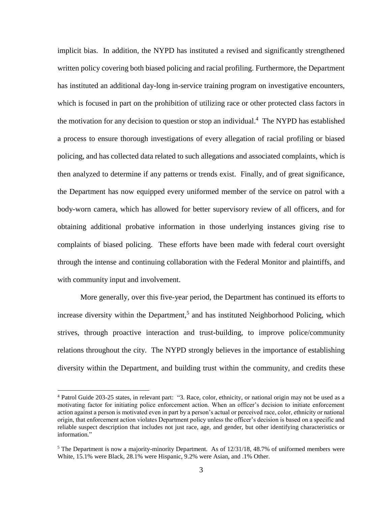implicit bias. In addition, the NYPD has instituted a revised and significantly strengthened written policy covering both biased policing and racial profiling. Furthermore, the Department has instituted an additional day-long in-service training program on investigative encounters, which is focused in part on the prohibition of utilizing race or other protected class factors in the motivation for any decision to question or stop an individual.<sup>4</sup> The NYPD has established a process to ensure thorough investigations of every allegation of racial profiling or biased policing, and has collected data related to such allegations and associated complaints, which is then analyzed to determine if any patterns or trends exist. Finally, and of great significance, the Department has now equipped every uniformed member of the service on patrol with a body-worn camera, which has allowed for better supervisory review of all officers, and for obtaining additional probative information in those underlying instances giving rise to complaints of biased policing. These efforts have been made with federal court oversight through the intense and continuing collaboration with the Federal Monitor and plaintiffs, and with community input and involvement.

More generally, over this five-year period, the Department has continued its efforts to increase diversity within the Department, 5 and has instituted Neighborhood Policing, which strives, through proactive interaction and trust-building, to improve police/community relations throughout the city. The NYPD strongly believes in the importance of establishing diversity within the Department, and building trust within the community, and credits these

<sup>4</sup> Patrol Guide 203-25 states, in relevant part: "3. Race, color, ethnicity, or national origin may not be used as a motivating factor for initiating police enforcement action. When an officer's decision to initiate enforcement action against a person is motivated even in part by a person's actual or perceived race, color, ethnicity or national origin, that enforcement action violates Department policy unless the officer's decision is based on a specific and reliable suspect description that includes not just race, age, and gender, but other identifying characteristics or information."

<sup>&</sup>lt;sup>5</sup> The Department is now a majority-minority Department. As of  $12/31/18$ ,  $48.7%$  of uniformed members were White, 15.1% were Black, 28.1% were Hispanic, 9.2% were Asian, and .1% Other.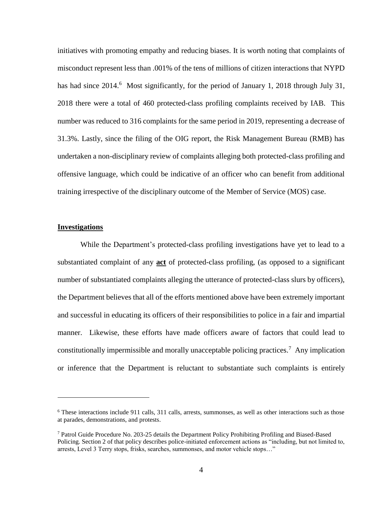initiatives with promoting empathy and reducing biases. It is worth noting that complaints of misconduct represent less than .001% of the tens of millions of citizen interactions that NYPD has had since 2014.<sup>6</sup> Most significantly, for the period of January 1, 2018 through July 31, 2018 there were a total of 460 protected-class profiling complaints received by IAB. This number was reduced to 316 complaints for the same period in 2019, representing a decrease of 31.3%. Lastly, since the filing of the OIG report, the Risk Management Bureau (RMB) has undertaken a non-disciplinary review of complaints alleging both protected-class profiling and offensive language, which could be indicative of an officer who can benefit from additional training irrespective of the disciplinary outcome of the Member of Service (MOS) case.

#### **Investigations**

 $\overline{a}$ 

While the Department's protected-class profiling investigations have yet to lead to a substantiated complaint of any **act** of protected-class profiling, (as opposed to a significant number of substantiated complaints alleging the utterance of protected-class slurs by officers), the Department believes that all of the efforts mentioned above have been extremely important and successful in educating its officers of their responsibilities to police in a fair and impartial manner. Likewise, these efforts have made officers aware of factors that could lead to constitutionally impermissible and morally unacceptable policing practices.<sup>7</sup> Any implication or inference that the Department is reluctant to substantiate such complaints is entirely

 $6$  These interactions include 911 calls, 311 calls, arrests, summonses, as well as other interactions such as those at parades, demonstrations, and protests.

<sup>7</sup> Patrol Guide Procedure No. 203-25 details the Department Policy Prohibiting Profiling and Biased-Based Policing. Section 2 of that policy describes police-initiated enforcement actions as "including, but not limited to, arrests, Level 3 Terry stops, frisks, searches, summonses, and motor vehicle stops…"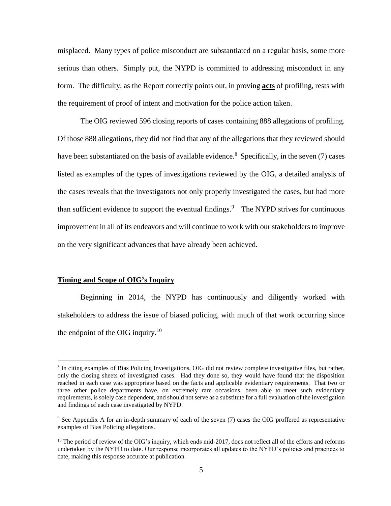misplaced. Many types of police misconduct are substantiated on a regular basis, some more serious than others. Simply put, the NYPD is committed to addressing misconduct in any form. The difficulty, as the Report correctly points out, in proving **acts** of profiling, rests with the requirement of proof of intent and motivation for the police action taken.

The OIG reviewed 596 closing reports of cases containing 888 allegations of profiling. Of those 888 allegations, they did not find that any of the allegations that they reviewed should have been substantiated on the basis of available evidence.<sup>8</sup> Specifically, in the seven (7) cases listed as examples of the types of investigations reviewed by the OIG, a detailed analysis of the cases reveals that the investigators not only properly investigated the cases, but had more than sufficient evidence to support the eventual findings.<sup>9</sup> The NYPD strives for continuous improvement in all of its endeavors and will continue to work with our stakeholders to improve on the very significant advances that have already been achieved.

#### **Timing and Scope of OIG's Inquiry**

 $\overline{a}$ 

Beginning in 2014, the NYPD has continuously and diligently worked with stakeholders to address the issue of biased policing, with much of that work occurring since the endpoint of the OIG inquiry. $10$ 

<sup>&</sup>lt;sup>8</sup> In citing examples of Bias Policing Investigations, OIG did not review complete investigative files, but rather, only the closing sheets of investigated cases. Had they done so, they would have found that the disposition reached in each case was appropriate based on the facts and applicable evidentiary requirements. That two or three other police departments have, on extremely rare occasions, been able to meet such evidentiary requirements, is solely case dependent, and should not serve as a substitute for a full evaluation of the investigation and findings of each case investigated by NYPD.

<sup>&</sup>lt;sup>9</sup> See Appendix A for an in-depth summary of each of the seven (7) cases the OIG proffered as representative examples of Bias Policing allegations.

 $10$  The period of review of the OIG's inquiry, which ends mid-2017, does not reflect all of the efforts and reforms undertaken by the NYPD to date. Our response incorporates all updates to the NYPD's policies and practices to date, making this response accurate at publication.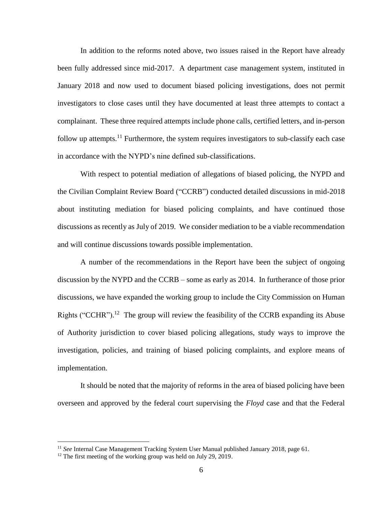In addition to the reforms noted above, two issues raised in the Report have already been fully addressed since mid-2017. A department case management system, instituted in January 2018 and now used to document biased policing investigations, does not permit investigators to close cases until they have documented at least three attempts to contact a complainant. These three required attempts include phone calls, certified letters, and in-person follow up attempts.<sup>11</sup> Furthermore, the system requires investigators to sub-classify each case in accordance with the NYPD's nine defined sub-classifications.

With respect to potential mediation of allegations of biased policing, the NYPD and the Civilian Complaint Review Board ("CCRB") conducted detailed discussions in mid-2018 about instituting mediation for biased policing complaints, and have continued those discussions as recently as July of 2019. We consider mediation to be a viable recommendation and will continue discussions towards possible implementation.

A number of the recommendations in the Report have been the subject of ongoing discussion by the NYPD and the CCRB – some as early as 2014. In furtherance of those prior discussions, we have expanded the working group to include the City Commission on Human Rights ("CCHR").<sup>12</sup> The group will review the feasibility of the CCRB expanding its Abuse of Authority jurisdiction to cover biased policing allegations, study ways to improve the investigation, policies, and training of biased policing complaints, and explore means of implementation.

It should be noted that the majority of reforms in the area of biased policing have been overseen and approved by the federal court supervising the *Floyd* case and that the Federal

<sup>11</sup> *See* Internal Case Management Tracking System User Manual published January 2018, page 61.

<sup>&</sup>lt;sup>12</sup> The first meeting of the working group was held on July 29, 2019.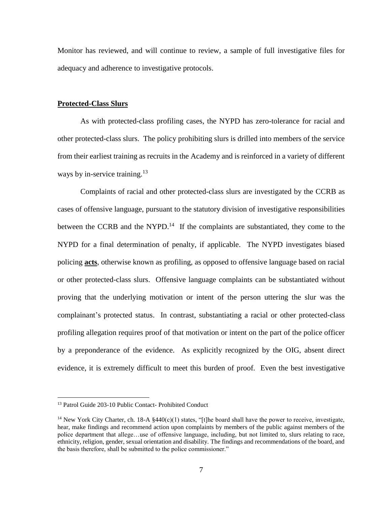Monitor has reviewed, and will continue to review, a sample of full investigative files for adequacy and adherence to investigative protocols.

#### **Protected-Class Slurs**

As with protected-class profiling cases, the NYPD has zero-tolerance for racial and other protected-class slurs. The policy prohibiting slurs is drilled into members of the service from their earliest training as recruits in the Academy and is reinforced in a variety of different ways by in-service training.<sup>13</sup>

Complaints of racial and other protected-class slurs are investigated by the CCRB as cases of offensive language, pursuant to the statutory division of investigative responsibilities between the CCRB and the NYPD.<sup>14</sup> If the complaints are substantiated, they come to the NYPD for a final determination of penalty, if applicable. The NYPD investigates biased policing **acts**, otherwise known as profiling, as opposed to offensive language based on racial or other protected-class slurs. Offensive language complaints can be substantiated without proving that the underlying motivation or intent of the person uttering the slur was the complainant's protected status. In contrast, substantiating a racial or other protected-class profiling allegation requires proof of that motivation or intent on the part of the police officer by a preponderance of the evidence. As explicitly recognized by the OIG, absent direct evidence, it is extremely difficult to meet this burden of proof. Even the best investigative

<sup>&</sup>lt;sup>13</sup> Patrol Guide 203-10 Public Contact- Prohibited Conduct

<sup>&</sup>lt;sup>14</sup> New York City Charter, ch. 18-A  $\frac{440(c)}{1}$  states, "[t]he board shall have the power to receive, investigate, hear, make findings and recommend action upon complaints by members of the public against members of the police department that allege…use of offensive language, including, but not limited to, slurs relating to race, ethnicity, religion, gender, sexual orientation and disability. The findings and recommendations of the board, and the basis therefore, shall be submitted to the police commissioner."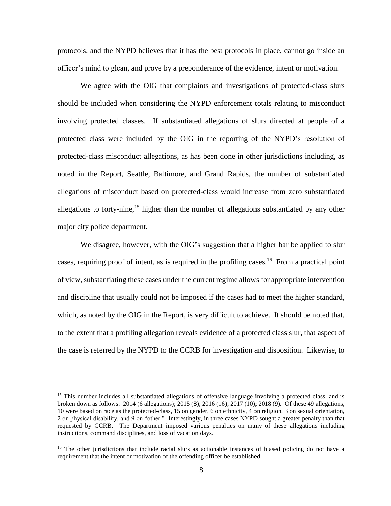protocols, and the NYPD believes that it has the best protocols in place, cannot go inside an officer's mind to glean, and prove by a preponderance of the evidence, intent or motivation.

We agree with the OIG that complaints and investigations of protected-class slurs should be included when considering the NYPD enforcement totals relating to misconduct involving protected classes. If substantiated allegations of slurs directed at people of a protected class were included by the OIG in the reporting of the NYPD's resolution of protected-class misconduct allegations, as has been done in other jurisdictions including, as noted in the Report, Seattle, Baltimore, and Grand Rapids, the number of substantiated allegations of misconduct based on protected-class would increase from zero substantiated allegations to forty-nine,<sup>15</sup> higher than the number of allegations substantiated by any other major city police department.

We disagree, however, with the OIG's suggestion that a higher bar be applied to slur cases, requiring proof of intent, as is required in the profiling cases.<sup>16</sup> From a practical point of view, substantiating these cases under the current regime allows for appropriate intervention and discipline that usually could not be imposed if the cases had to meet the higher standard, which, as noted by the OIG in the Report, is very difficult to achieve. It should be noted that, to the extent that a profiling allegation reveals evidence of a protected class slur, that aspect of the case is referred by the NYPD to the CCRB for investigation and disposition. Likewise, to

<sup>&</sup>lt;sup>15</sup> This number includes all substantiated allegations of offensive language involving a protected class, and is broken down as follows: 2014 (6 allegations); 2015 (8); 2016 (16); 2017 (10); 2018 (9). Of these 49 allegations, 10 were based on race as the protected-class, 15 on gender, 6 on ethnicity, 4 on religion, 3 on sexual orientation, 2 on physical disability, and 9 on "other." Interestingly, in three cases NYPD sought a greater penalty than that requested by CCRB. The Department imposed various penalties on many of these allegations including instructions, command disciplines, and loss of vacation days.

<sup>&</sup>lt;sup>16</sup> The other jurisdictions that include racial slurs as actionable instances of biased policing do not have a requirement that the intent or motivation of the offending officer be established.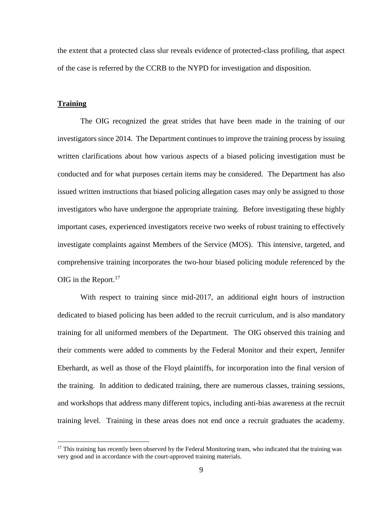the extent that a protected class slur reveals evidence of protected-class profiling, that aspect of the case is referred by the CCRB to the NYPD for investigation and disposition.

#### **Training**

 $\overline{a}$ 

The OIG recognized the great strides that have been made in the training of our investigators since 2014. The Department continues to improve the training process by issuing written clarifications about how various aspects of a biased policing investigation must be conducted and for what purposes certain items may be considered. The Department has also issued written instructions that biased policing allegation cases may only be assigned to those investigators who have undergone the appropriate training. Before investigating these highly important cases, experienced investigators receive two weeks of robust training to effectively investigate complaints against Members of the Service (MOS). This intensive, targeted, and comprehensive training incorporates the two-hour biased policing module referenced by the OIG in the Report. $17$ 

With respect to training since mid-2017, an additional eight hours of instruction dedicated to biased policing has been added to the recruit curriculum, and is also mandatory training for all uniformed members of the Department. The OIG observed this training and their comments were added to comments by the Federal Monitor and their expert, Jennifer Eberhardt, as well as those of the Floyd plaintiffs, for incorporation into the final version of the training. In addition to dedicated training, there are numerous classes, training sessions, and workshops that address many different topics, including anti-bias awareness at the recruit training level. Training in these areas does not end once a recruit graduates the academy.

<sup>&</sup>lt;sup>17</sup> This training has recently been observed by the Federal Monitoring team, who indicated that the training was very good and in accordance with the court-approved training materials.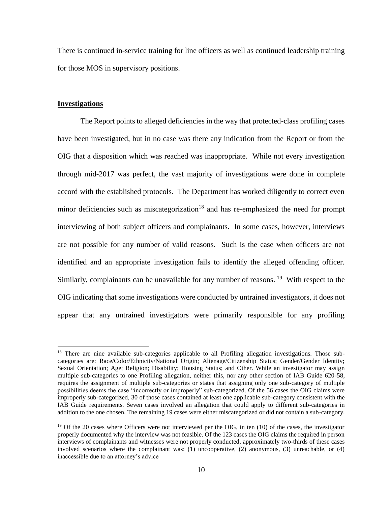There is continued in-service training for line officers as well as continued leadership training for those MOS in supervisory positions.

#### **Investigations**

 $\overline{a}$ 

The Report points to alleged deficiencies in the way that protected-class profiling cases have been investigated, but in no case was there any indication from the Report or from the OIG that a disposition which was reached was inappropriate. While not every investigation through mid-2017 was perfect, the vast majority of investigations were done in complete accord with the established protocols. The Department has worked diligently to correct even minor deficiencies such as miscategorization<sup>18</sup> and has re-emphasized the need for prompt interviewing of both subject officers and complainants. In some cases, however, interviews are not possible for any number of valid reasons. Such is the case when officers are not identified and an appropriate investigation fails to identify the alleged offending officer. Similarly, complainants can be unavailable for any number of reasons. <sup>19</sup> With respect to the OIG indicating that some investigations were conducted by untrained investigators, it does not appear that any untrained investigators were primarily responsible for any profiling

<sup>&</sup>lt;sup>18</sup> There are nine available sub-categories applicable to all Profiling allegation investigations. Those subcategories are: Race/Color/Ethnicity/National Origin; Alienage/Citizenship Status; Gender/Gender Identity; Sexual Orientation; Age; Religion; Disability; Housing Status; and Other. While an investigator may assign multiple sub-categories to one Profiling allegation, neither this, nor any other section of IAB Guide 620-58, requires the assignment of multiple sub-categories or states that assigning only one sub-category of multiple possibilities deems the case "incorrectly or improperly" sub-categorized. Of the 56 cases the OIG claims were improperly sub-categorized, 30 of those cases contained at least one applicable sub-category consistent with the IAB Guide requirements. Seven cases involved an allegation that could apply to different sub-categories in addition to the one chosen. The remaining 19 cases were either miscategorized or did not contain a sub-category.

<sup>&</sup>lt;sup>19</sup> Of the 20 cases where Officers were not interviewed per the OIG, in ten (10) of the cases, the investigator properly documented why the interview was not feasible. Of the 123 cases the OIG claims the required in person interviews of complainants and witnesses were not properly conducted, approximately two-thirds of these cases involved scenarios where the complainant was: (1) uncooperative, (2) anonymous, (3) unreachable, or (4) inaccessible due to an attorney's advice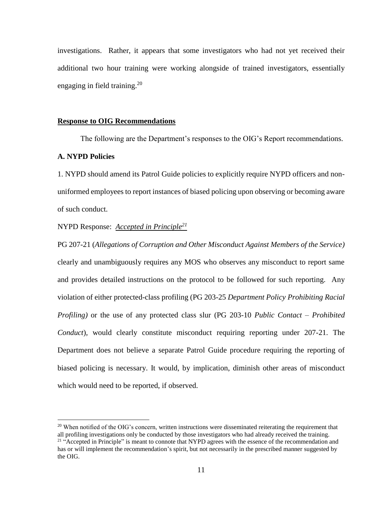investigations. Rather, it appears that some investigators who had not yet received their additional two hour training were working alongside of trained investigators, essentially engaging in field training.<sup>20</sup>

#### **Response to OIG Recommendations**

The following are the Department's responses to the OIG's Report recommendations.

# **A. NYPD Policies**

 $\overline{a}$ 

1. NYPD should amend its Patrol Guide policies to explicitly require NYPD officers and nonuniformed employees to report instances of biased policing upon observing or becoming aware of such conduct.

#### NYPD Response: *Accepted in Principle<sup>21</sup>*

PG 207-21 (*Allegations of Corruption and Other Misconduct Against Members of the Service)*  clearly and unambiguously requires any MOS who observes any misconduct to report same and provides detailed instructions on the protocol to be followed for such reporting. Any violation of either protected-class profiling (PG 203-25 *Department Policy Prohibiting Racial Profiling)* or the use of any protected class slur (PG 203-10 *Public Contact – Prohibited Conduct*), would clearly constitute misconduct requiring reporting under 207-21. The Department does not believe a separate Patrol Guide procedure requiring the reporting of biased policing is necessary. It would, by implication, diminish other areas of misconduct which would need to be reported, if observed.

<sup>&</sup>lt;sup>20</sup> When notified of the OIG's concern, written instructions were disseminated reiterating the requirement that all profiling investigations only be conducted by those investigators who had already received the training.

<sup>&</sup>lt;sup>21</sup> "Accepted in Principle" is meant to connote that NYPD agrees with the essence of the recommendation and has or will implement the recommendation's spirit, but not necessarily in the prescribed manner suggested by the OIG.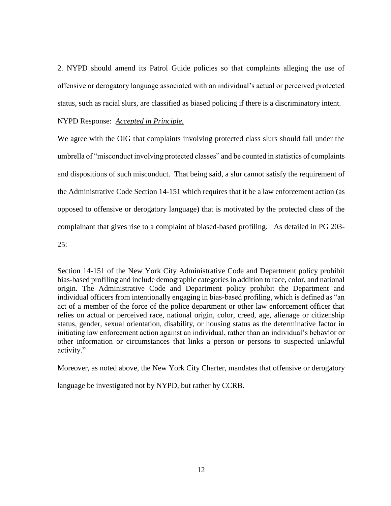2. NYPD should amend its Patrol Guide policies so that complaints alleging the use of offensive or derogatory language associated with an individual's actual or perceived protected status, such as racial slurs, are classified as biased policing if there is a discriminatory intent.

NYPD Response: *Accepted in Principle.*

We agree with the OIG that complaints involving protected class slurs should fall under the umbrella of "misconduct involving protected classes" and be counted in statistics of complaints and dispositions of such misconduct. That being said, a slur cannot satisfy the requirement of the Administrative Code Section 14-151 which requires that it be a law enforcement action (as opposed to offensive or derogatory language) that is motivated by the protected class of the complainant that gives rise to a complaint of biased-based profiling. As detailed in PG 203-  $25:$ 

Section 14-151 of the New York City Administrative Code and Department policy prohibit bias-based profiling and include demographic categories in addition to race, color, and national origin. The Administrative Code and Department policy prohibit the Department and individual officers from intentionally engaging in bias-based profiling, which is defined as "an act of a member of the force of the police department or other law enforcement officer that relies on actual or perceived race, national origin, color, creed, age, alienage or citizenship status, gender, sexual orientation, disability, or housing status as the determinative factor in initiating law enforcement action against an individual, rather than an individual's behavior or other information or circumstances that links a person or persons to suspected unlawful activity."

Moreover, as noted above, the New York City Charter, mandates that offensive or derogatory

language be investigated not by NYPD, but rather by CCRB.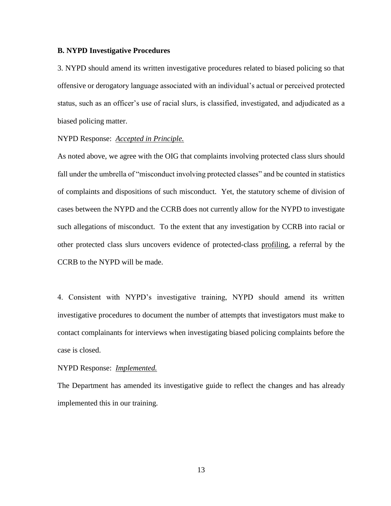#### **B. NYPD Investigative Procedures**

3. NYPD should amend its written investigative procedures related to biased policing so that offensive or derogatory language associated with an individual's actual or perceived protected status, such as an officer's use of racial slurs, is classified, investigated, and adjudicated as a biased policing matter.

#### NYPD Response: *Accepted in Principle.*

As noted above, we agree with the OIG that complaints involving protected class slurs should fall under the umbrella of "misconduct involving protected classes" and be counted in statistics of complaints and dispositions of such misconduct. Yet, the statutory scheme of division of cases between the NYPD and the CCRB does not currently allow for the NYPD to investigate such allegations of misconduct. To the extent that any investigation by CCRB into racial or other protected class slurs uncovers evidence of protected-class profiling, a referral by the CCRB to the NYPD will be made.

4. Consistent with NYPD's investigative training, NYPD should amend its written investigative procedures to document the number of attempts that investigators must make to contact complainants for interviews when investigating biased policing complaints before the case is closed.

#### NYPD Response: *Implemented.*

The Department has amended its investigative guide to reflect the changes and has already implemented this in our training.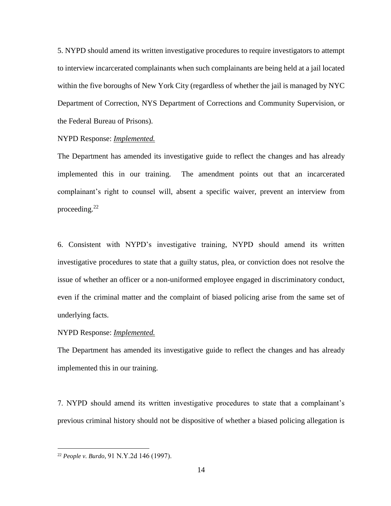5. NYPD should amend its written investigative procedures to require investigators to attempt to interview incarcerated complainants when such complainants are being held at a jail located within the five boroughs of New York City (regardless of whether the jail is managed by NYC Department of Correction, NYS Department of Corrections and Community Supervision, or the Federal Bureau of Prisons).

NYPD Response: *Implemented.*

The Department has amended its investigative guide to reflect the changes and has already implemented this in our training. The amendment points out that an incarcerated complainant's right to counsel will, absent a specific waiver, prevent an interview from proceeding.<sup>22</sup>

6. Consistent with NYPD's investigative training, NYPD should amend its written investigative procedures to state that a guilty status, plea, or conviction does not resolve the issue of whether an officer or a non-uniformed employee engaged in discriminatory conduct, even if the criminal matter and the complaint of biased policing arise from the same set of underlying facts.

NYPD Response: *Implemented.*

The Department has amended its investigative guide to reflect the changes and has already implemented this in our training.

7. NYPD should amend its written investigative procedures to state that a complainant's previous criminal history should not be dispositive of whether a biased policing allegation is

<sup>22</sup> *People v. Burdo*, 91 N.Y.2d 146 (1997).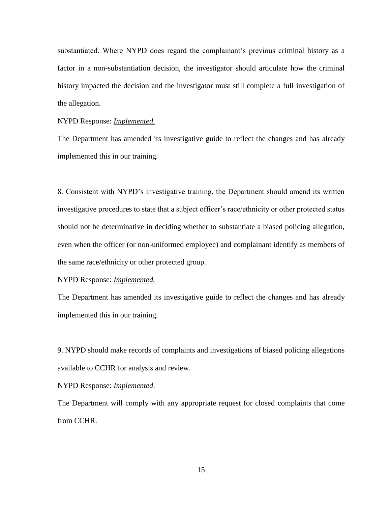substantiated. Where NYPD does regard the complainant's previous criminal history as a factor in a non-substantiation decision, the investigator should articulate how the criminal history impacted the decision and the investigator must still complete a full investigation of the allegation.

NYPD Response: *Implemented.*

The Department has amended its investigative guide to reflect the changes and has already implemented this in our training.

8. Consistent with NYPD's investigative training, the Department should amend its written investigative procedures to state that a subject officer's race/ethnicity or other protected status should not be determinative in deciding whether to substantiate a biased policing allegation, even when the officer (or non-uniformed employee) and complainant identify as members of the same race/ethnicity or other protected group.

NYPD Response: *Implemented.*

The Department has amended its investigative guide to reflect the changes and has already implemented this in our training.

9. NYPD should make records of complaints and investigations of biased policing allegations available to CCHR for analysis and review.

NYPD Response: *Implemented*.

The Department will comply with any appropriate request for closed complaints that come from CCHR.

15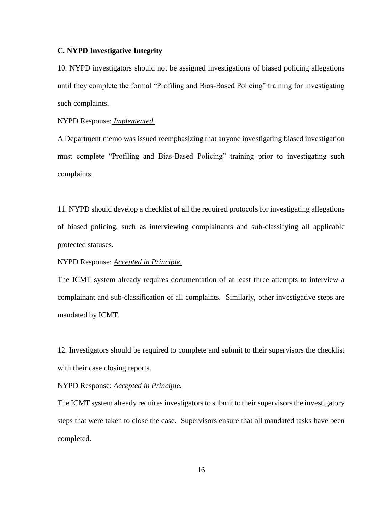### **C. NYPD Investigative Integrity**

10. NYPD investigators should not be assigned investigations of biased policing allegations until they complete the formal "Profiling and Bias-Based Policing" training for investigating such complaints.

#### NYPD Response: *Implemented.*

A Department memo was issued reemphasizing that anyone investigating biased investigation must complete "Profiling and Bias-Based Policing" training prior to investigating such complaints.

11. NYPD should develop a checklist of all the required protocols for investigating allegations of biased policing, such as interviewing complainants and sub-classifying all applicable protected statuses.

#### NYPD Response: *Accepted in Principle.*

The ICMT system already requires documentation of at least three attempts to interview a complainant and sub-classification of all complaints. Similarly, other investigative steps are mandated by ICMT.

12. Investigators should be required to complete and submit to their supervisors the checklist with their case closing reports.

#### NYPD Response: *Accepted in Principle.*

The ICMT system already requires investigators to submit to their supervisors the investigatory steps that were taken to close the case. Supervisors ensure that all mandated tasks have been completed.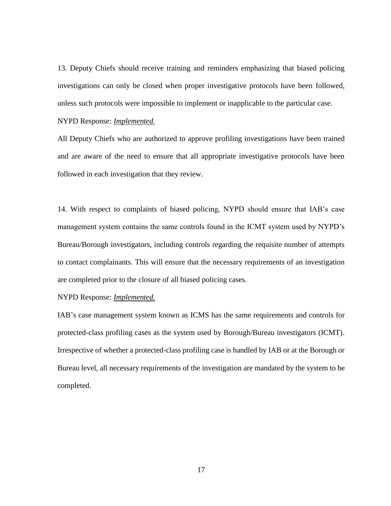13. Deputy Chiefs should receive training and reminders emphasizing that biased policing investigations can only be closed when proper investigative protocols have been followed, unless such protocols were impossible to implement or inapplicable to the particular case.

NYPD Response: *Implemented.*

All Deputy Chiefs who are authorized to approve profiling investigations have been trained and are aware of the need to ensure that all appropriate investigative protocols have been followed in each investigation that they review.

14. With respect to complaints of biased policing, NYPD should ensure that IAB's case management system contains the same controls found in the ICMT system used by NYPD's Bureau/Borough investigators, including controls regarding the requisite number of attempts to contact complainants. This will ensure that the necessary requirements of an investigation are completed prior to the closure of all biased policing cases.

NYPD Response: *Implemented.*

IAB's case management system known as ICMS has the same requirements and controls for protected-class profiling cases as the system used by Borough/Bureau investigators (ICMT). Irrespective of whether a protected-class profiling case is handled by IAB or at the Borough or Bureau level, all necessary requirements of the investigation are mandated by the system to be completed.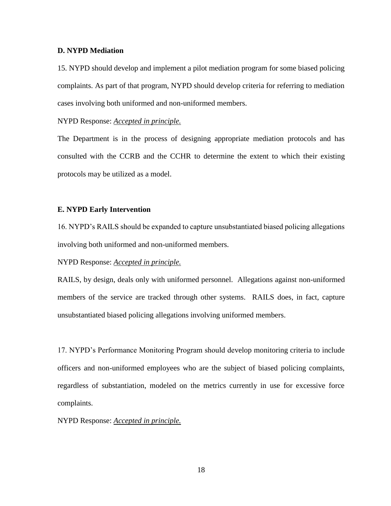### **D. NYPD Mediation**

15. NYPD should develop and implement a pilot mediation program for some biased policing complaints. As part of that program, NYPD should develop criteria for referring to mediation cases involving both uniformed and non-uniformed members.

NYPD Response: *Accepted in principle.*

The Department is in the process of designing appropriate mediation protocols and has consulted with the CCRB and the CCHR to determine the extent to which their existing protocols may be utilized as a model.

#### **E. NYPD Early Intervention**

16. NYPD's RAILS should be expanded to capture unsubstantiated biased policing allegations involving both uniformed and non-uniformed members.

NYPD Response: *Accepted in principle.*

RAILS, by design, deals only with uniformed personnel. Allegations against non-uniformed members of the service are tracked through other systems. RAILS does, in fact, capture unsubstantiated biased policing allegations involving uniformed members.

17. NYPD's Performance Monitoring Program should develop monitoring criteria to include officers and non-uniformed employees who are the subject of biased policing complaints, regardless of substantiation, modeled on the metrics currently in use for excessive force complaints.

NYPD Response: *Accepted in principle.*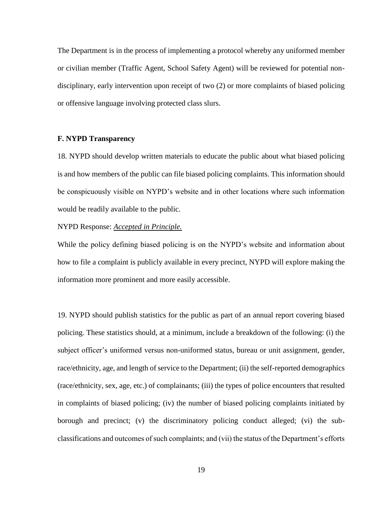The Department is in the process of implementing a protocol whereby any uniformed member or civilian member (Traffic Agent, School Safety Agent) will be reviewed for potential nondisciplinary, early intervention upon receipt of two (2) or more complaints of biased policing or offensive language involving protected class slurs.

### **F. NYPD Transparency**

18. NYPD should develop written materials to educate the public about what biased policing is and how members of the public can file biased policing complaints. This information should be conspicuously visible on NYPD's website and in other locations where such information would be readily available to the public.

#### NYPD Response: *Accepted in Principle.*

While the policy defining biased policing is on the NYPD's website and information about how to file a complaint is publicly available in every precinct, NYPD will explore making the information more prominent and more easily accessible.

19. NYPD should publish statistics for the public as part of an annual report covering biased policing. These statistics should, at a minimum, include a breakdown of the following: (i) the subject officer's uniformed versus non-uniformed status, bureau or unit assignment, gender, race/ethnicity, age, and length of service to the Department; (ii) the self-reported demographics (race/ethnicity, sex, age, etc.) of complainants; (iii) the types of police encounters that resulted in complaints of biased policing; (iv) the number of biased policing complaints initiated by borough and precinct; (v) the discriminatory policing conduct alleged; (vi) the subclassifications and outcomes of such complaints; and (vii) the status of the Department's efforts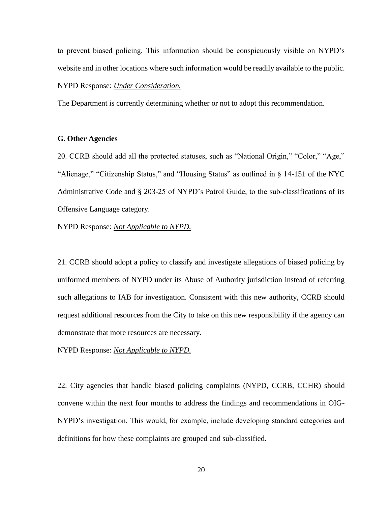to prevent biased policing. This information should be conspicuously visible on NYPD's website and in other locations where such information would be readily available to the public.

#### NYPD Response: *Under Consideration.*

The Department is currently determining whether or not to adopt this recommendation.

### **G. Other Agencies**

20. CCRB should add all the protected statuses, such as "National Origin," "Color," "Age," "Alienage," "Citizenship Status," and "Housing Status" as outlined in § 14-151 of the NYC Administrative Code and § 203-25 of NYPD's Patrol Guide, to the sub-classifications of its Offensive Language category.

NYPD Response: *Not Applicable to NYPD.*

21. CCRB should adopt a policy to classify and investigate allegations of biased policing by uniformed members of NYPD under its Abuse of Authority jurisdiction instead of referring such allegations to IAB for investigation. Consistent with this new authority, CCRB should request additional resources from the City to take on this new responsibility if the agency can demonstrate that more resources are necessary.

NYPD Response: *Not Applicable to NYPD.*

22. City agencies that handle biased policing complaints (NYPD, CCRB, CCHR) should convene within the next four months to address the findings and recommendations in OIG-NYPD's investigation. This would, for example, include developing standard categories and definitions for how these complaints are grouped and sub-classified.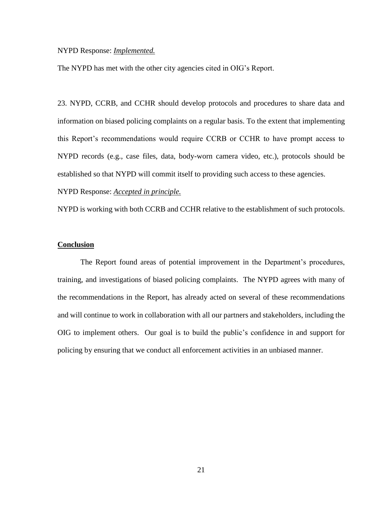### NYPD Response: *Implemented.*

The NYPD has met with the other city agencies cited in OIG's Report.

23. NYPD, CCRB, and CCHR should develop protocols and procedures to share data and information on biased policing complaints on a regular basis. To the extent that implementing this Report's recommendations would require CCRB or CCHR to have prompt access to NYPD records (e.g., case files, data, body-worn camera video, etc.), protocols should be established so that NYPD will commit itself to providing such access to these agencies.

NYPD Response: *Accepted in principle.*

NYPD is working with both CCRB and CCHR relative to the establishment of such protocols.

### **Conclusion**

The Report found areas of potential improvement in the Department's procedures, training, and investigations of biased policing complaints. The NYPD agrees with many of the recommendations in the Report, has already acted on several of these recommendations and will continue to work in collaboration with all our partners and stakeholders, including the OIG to implement others. Our goal is to build the public's confidence in and support for policing by ensuring that we conduct all enforcement activities in an unbiased manner.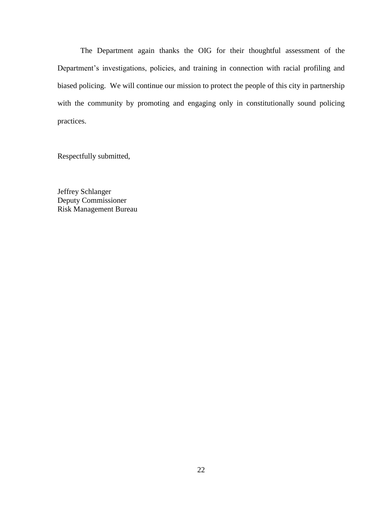The Department again thanks the OIG for their thoughtful assessment of the Department's investigations, policies, and training in connection with racial profiling and biased policing. We will continue our mission to protect the people of this city in partnership with the community by promoting and engaging only in constitutionally sound policing practices.

Respectfully submitted,

Jeffrey Schlanger Deputy Commissioner Risk Management Bureau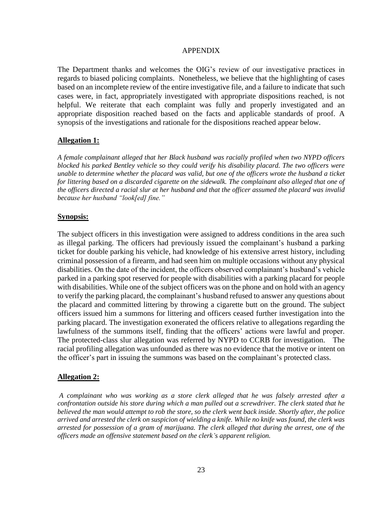### APPENDIX

The Department thanks and welcomes the OIG's review of our investigative practices in regards to biased policing complaints. Nonetheless, we believe that the highlighting of cases based on an incomplete review of the entire investigative file, and a failure to indicate that such cases were, in fact, appropriately investigated with appropriate dispositions reached, is not helpful. We reiterate that each complaint was fully and properly investigated and an appropriate disposition reached based on the facts and applicable standards of proof. A synopsis of the investigations and rationale for the dispositions reached appear below.

### **Allegation 1:**

*A female complainant alleged that her Black husband was racially profiled when two NYPD officers blocked his parked Bentley vehicle so they could verify his disability placard. The two officers were unable to determine whether the placard was valid, but one of the officers wrote the husband a ticket for littering based on a discarded cigarette on the sidewalk. The complainant also alleged that one of the officers directed a racial slur at her husband and that the officer assumed the placard was invalid because her husband "look[ed] fine."*

### **Synopsis:**

The subject officers in this investigation were assigned to address conditions in the area such as illegal parking. The officers had previously issued the complainant's husband a parking ticket for double parking his vehicle, had knowledge of his extensive arrest history, including criminal possession of a firearm, and had seen him on multiple occasions without any physical disabilities. On the date of the incident, the officers observed complainant's husband's vehicle parked in a parking spot reserved for people with disabilities with a parking placard for people with disabilities. While one of the subject officers was on the phone and on hold with an agency to verify the parking placard, the complainant's husband refused to answer any questions about the placard and committed littering by throwing a cigarette butt on the ground. The subject officers issued him a summons for littering and officers ceased further investigation into the parking placard. The investigation exonerated the officers relative to allegations regarding the lawfulness of the summons itself, finding that the officers' actions were lawful and proper. The protected-class slur allegation was referred by NYPD to CCRB for investigation. The racial profiling allegation was unfounded as there was no evidence that the motive or intent on the officer's part in issuing the summons was based on the complainant's protected class.

# **Allegation 2:**

*A complainant who was working as a store clerk alleged that he was falsely arrested after a confrontation outside his store during which a man pulled out a screwdriver. The clerk stated that he believed the man would attempt to rob the store, so the clerk went back inside. Shortly after, the police arrived and arrested the clerk on suspicion of wielding a knife. While no knife was found, the clerk was arrested for possession of a gram of marijuana. The clerk alleged that during the arrest, one of the officers made an offensive statement based on the clerk's apparent religion.*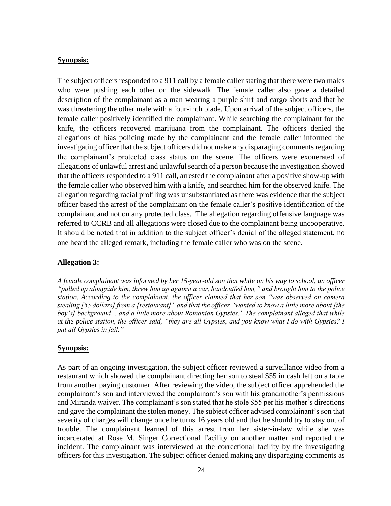#### **Synopsis:**

The subject officers responded to a 911 call by a female caller stating that there were two males who were pushing each other on the sidewalk. The female caller also gave a detailed description of the complainant as a man wearing a purple shirt and cargo shorts and that he was threatening the other male with a four-inch blade. Upon arrival of the subject officers, the female caller positively identified the complainant. While searching the complainant for the knife, the officers recovered marijuana from the complainant. The officers denied the allegations of bias policing made by the complainant and the female caller informed the investigating officer that the subject officers did not make any disparaging comments regarding the complainant's protected class status on the scene. The officers were exonerated of allegations of unlawful arrest and unlawful search of a person because the investigation showed that the officers responded to a 911 call, arrested the complainant after a positive show-up with the female caller who observed him with a knife, and searched him for the observed knife. The allegation regarding racial profiling was unsubstantiated as there was evidence that the subject officer based the arrest of the complainant on the female caller's positive identification of the complainant and not on any protected class. The allegation regarding offensive language was referred to CCRB and all allegations were closed due to the complainant being uncooperative. It should be noted that in addition to the subject officer's denial of the alleged statement, no one heard the alleged remark, including the female caller who was on the scene.

### **Allegation 3:**

*A female complainant was informed by her 15-year-old son that while on his way to school, an officer "pulled up alongside him, threw him up against a car, handcuffed him," and brought him to the police station. According to the complainant, the officer claimed that her son "was observed on camera stealing [55 dollars] from a [restaurant]" and that the officer "wanted to know a little more about [the boy's] background… and a little more about Romanian Gypsies." The complainant alleged that while at the police station, the officer said, "they are all Gypsies, and you know what I do with Gypsies? I put all Gypsies in jail."* 

### **Synopsis:**

As part of an ongoing investigation, the subject officer reviewed a surveillance video from a restaurant which showed the complainant directing her son to steal \$55 in cash left on a table from another paying customer. After reviewing the video, the subject officer apprehended the complainant's son and interviewed the complainant's son with his grandmother's permissions and Miranda waiver. The complainant's son stated that he stole \$55 per his mother's directions and gave the complainant the stolen money. The subject officer advised complainant's son that severity of charges will change once he turns 16 years old and that he should try to stay out of trouble. The complainant learned of this arrest from her sister-in-law while she was incarcerated at Rose M. Singer Correctional Facility on another matter and reported the incident. The complainant was interviewed at the correctional facility by the investigating officers for this investigation. The subject officer denied making any disparaging comments as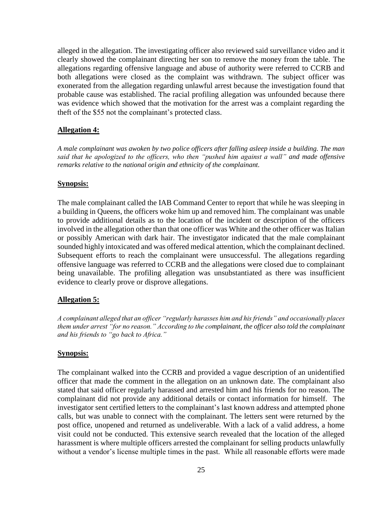alleged in the allegation. The investigating officer also reviewed said surveillance video and it clearly showed the complainant directing her son to remove the money from the table. The allegations regarding offensive language and abuse of authority were referred to CCRB and both allegations were closed as the complaint was withdrawn. The subject officer was exonerated from the allegation regarding unlawful arrest because the investigation found that probable cause was established. The racial profiling allegation was unfounded because there was evidence which showed that the motivation for the arrest was a complaint regarding the theft of the \$55 not the complainant's protected class.

# **Allegation 4:**

*A male complainant was awoken by two police officers after falling asleep inside a building. The man said that he apologized to the officers, who then "pushed him against a wall" and made offensive remarks relative to the national origin and ethnicity of the complainant.*

### **Synopsis:**

The male complainant called the IAB Command Center to report that while he was sleeping in a building in Queens, the officers woke him up and removed him. The complainant was unable to provide additional details as to the location of the incident or description of the officers involved in the allegation other than that one officer was White and the other officer was Italian or possibly American with dark hair. The investigator indicated that the male complainant sounded highly intoxicated and was offered medical attention, which the complainant declined. Subsequent efforts to reach the complainant were unsuccessful. The allegations regarding offensive language was referred to CCRB and the allegations were closed due to complainant being unavailable. The profiling allegation was unsubstantiated as there was insufficient evidence to clearly prove or disprove allegations.

# **Allegation 5:**

*A complainant alleged that an officer "regularly harasses him and his friends" and occasionally places them under arrest "for no reason." According to the complainant, the officer also told the complainant and his friends to "go back to Africa."* 

### **Synopsis:**

The complainant walked into the CCRB and provided a vague description of an unidentified officer that made the comment in the allegation on an unknown date. The complainant also stated that said officer regularly harassed and arrested him and his friends for no reason. The complainant did not provide any additional details or contact information for himself. The investigator sent certified letters to the complainant's last known address and attempted phone calls, but was unable to connect with the complainant. The letters sent were returned by the post office, unopened and returned as undeliverable. With a lack of a valid address, a home visit could not be conducted. This extensive search revealed that the location of the alleged harassment is where multiple officers arrested the complainant for selling products unlawfully without a vendor's license multiple times in the past. While all reasonable efforts were made